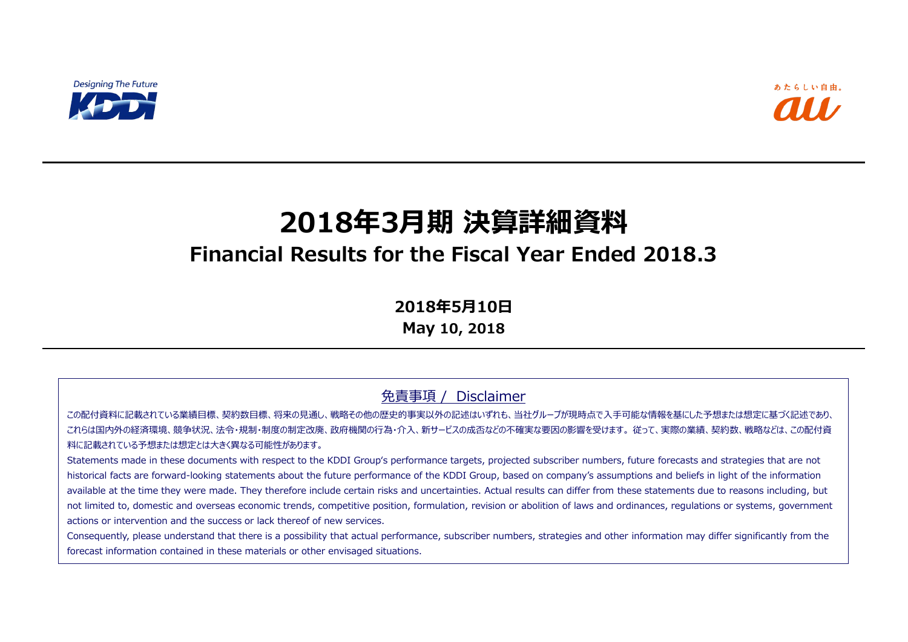

# **2018年3月期 決算詳細資料**

## **Financial Results for the Fiscal Year Ended 2018.3**

**2018年5月10日**

**May 10, 2018**

#### 免責事項 / Disclaimer

この配付資料に記載されている業績目標、契約数目標、将来の見通し、戦略その他の歴史的事実以外の記述はいずれも、当社グループが現時点で入手可能な情報を基にした予想または想定に基づく記述であり、 これらは国内外の経済環境、競争状況、法令・規制・制度の制定改廃、政府機関の行為・介入、新サービスの成否などの不確実な要因の影響を受けます。 従って、実際の業績、契約数、戦略などは、この配付資 料に記載されている予想または想定とは大きく異なる可能性があります。

Statements made in these documents with respect to the KDDI Group's performance targets, projected subscriber numbers, future forecasts and strategies that are not historical facts are forward-looking statements about the future performance of the KDDI Group, based on company's assumptions and beliefs in light of the information available at the time they were made. They therefore include certain risks and uncertainties. Actual results can differ from these statements due to reasons including, but not limited to, domestic and overseas economic trends, competitive position, formulation, revision or abolition of laws and ordinances, regulations or systems, government actions or intervention and the success or lack thereof of new services.

Consequently, please understand that there is a possibility that actual performance, subscriber numbers, strategies and other information may differ significantly from the forecast information contained in these materials or other envisaged situations.

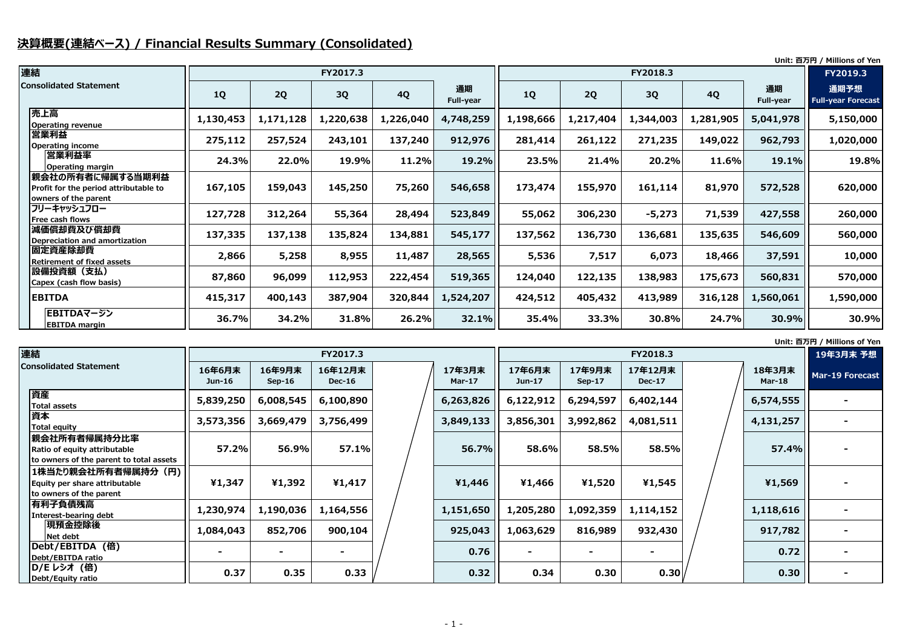### **決算概要(連結ベース) / Financial Results Summary (Consolidated)**

**Unit: 百万円 / Millions of Yen**

**Unit: 百万円 / Millions of Yen**

| 連結                                                                                |           |           | FY2017.3  |           |                        |           |           | FY2018.3  |           |                        | FY2019.3                          |
|-----------------------------------------------------------------------------------|-----------|-----------|-----------|-----------|------------------------|-----------|-----------|-----------|-----------|------------------------|-----------------------------------|
| <b>Consolidated Statement</b>                                                     | <b>1Q</b> | 2Q        | 3Q        | <b>4Q</b> | 通期<br><b>Full-year</b> | 1Q        | 2Q        | <b>3Q</b> | <b>4Q</b> | 通期<br><b>Full-year</b> | 通期予想<br><b>Full-year Forecast</b> |
| 売上高<br><b>Operating revenue</b>                                                   | 1,130,453 | 1,171,128 | 1,220,638 | 1,226,040 | 4,748,259              | 1,198,666 | 1,217,404 | 1,344,003 | 1,281,905 | 5,041,978              | 5,150,000                         |
| 営業利益<br><b>Operating income</b>                                                   | 275,112   | 257,524   | 243,101   | 137,240   | 912,976                | 281,414   | 261,122   | 271,235   | 149,022   | 962,793                | 1,020,000                         |
| 営業利益率<br><b>Operating margin</b>                                                  | 24.3%     | 22.0%     | 19.9%     | 11.2%     | 19.2%                  | 23.5%     | 21.4%     | 20.2%     | 11.6%     | 19.1%                  | 19.8%                             |
| 親会社の所有者に帰属する当期利益<br>Profit for the period attributable to<br>owners of the parent | 167,105   | 159,043   | 145,250   | 75,260    | 546,658                | 173,474   | 155,970   | 161,114   | 81,970    | 572,528                | 620,000                           |
| フリーキャッシュフロー<br>Free cash flows                                                    | 127,728   | 312,264   | 55,364    | 28,494    | 523,849                | 55,062    | 306,230   | $-5,273$  | 71,539    | 427,558                | 260,000                           |
| 減価償却費及び償却費<br>Depreciation and amortization                                       | 137,335   | 137,138   | 135,824   | 134,881   | 545,177                | 137,562   | 136,730   | 136,681   | 135,635   | 546,609                | 560,000                           |
| <b>旧定資産除却費</b><br><b>Retirement of fixed assets</b>                               | 2,866     | 5,258     | 8,955     | 11,487    | 28,565                 | 5,536     | 7,517     | 6,073     | 18,466    | 37,591                 | 10,000                            |
| 設備投資額 (支払)<br>Capex (cash flow basis)                                             | 87,860    | 96,099    | 112,953   | 222,454   | 519,365                | 124,040   | 122,135   | 138,983   | 175,673   | 560,831                | 570,000                           |
| <b>EBITDA</b>                                                                     | 415,317   | 400,143   | 387,904   | 320,844   | 1,524,207              | 424,512   | 405,432   | 413,989   | 316,128   | 1,560,061              | 1,590,000                         |
| EBITDAマージン<br><b>EBITDA margin</b>                                                | 36.7%     | 34.2%     | 31.8%     | 26.2%     | 32.1%                  | 35.4%     | 33.3%     | 30.8%     | 24.7%     | 30.9%                  | 30.9%                             |

| 連結                                                                                      |                    |                          | FY2017.3                 |                     |                    |                    | FY2018.3                 |                         | 19年3月末 予想       |
|-----------------------------------------------------------------------------------------|--------------------|--------------------------|--------------------------|---------------------|--------------------|--------------------|--------------------------|-------------------------|-----------------|
| <b>Consolidated Statement</b>                                                           | 16年6月末<br>$Jun-16$ | 16年9月末<br>$Sep-16$       | 16年12月末<br><b>Dec-16</b> | 17年3月末<br>Mar- $17$ | 17年6月末<br>$Jun-17$ | 17年9月末<br>$Sep-17$ | 17年12月末<br><b>Dec-17</b> | 18年3月末<br><b>Mar-18</b> | Mar-19 Forecast |
| 資産<br><b>Total assets</b>                                                               | 5,839,250          | 6,008,545                | 6,100,890                | 6,263,826           | 6,122,912          | 6,294,597          | 6,402,144                | 6,574,555               |                 |
| 資本<br>Total equity                                                                      | 3,573,356          | 3,669,479                | 3,756,499                | 3,849,133           | 3,856,301          | 3,992,862          | 4,081,511                | 4,131,257               |                 |
| 親会社所有者帰属持分比率<br>Ratio of equity attributable<br>to owners of the parent to total assets | 57.2%              | 56.9%                    | 57.1%                    | 56.7%               | 58.6%              | 58.5%              | 58.5%                    | 57.4%                   |                 |
| 1株当たり親会社所有者帰属持分 (円) <br>Equity per share attributable<br>to owners of the parent        | ¥1,347             | ¥1,392                   | ¥1,417                   | ¥1,446              | ¥1,466             | ¥1,520             | ¥1,545                   | ¥1,569                  |                 |
| 有利子負債残高<br>Interest-bearing debt                                                        | 1,230,974          | 1,190,036                | 1,164,556                | 1,151,650           | 1,205,280          | 1,092,359          | 1,114,152                | 1,118,616               |                 |
| 現預金控除後<br>Net debt                                                                      | 1,084,043          | 852,706                  | 900,104                  | 925,043             | 1,063,629          | 816,989            | 932,430                  | 917,782                 |                 |
| Debt/EBITDA (倍)<br>Debt/EBITDA ratio                                                    |                    | $\overline{\phantom{0}}$ |                          | 0.76                |                    | $\blacksquare$     |                          | 0.72                    |                 |
| <b>D/Eレシオ (倍)</b><br>Debt/Equity ratio                                                  | 0.37               | 0.35                     | 0.33                     | 0.32                | 0.34               | 0.30               | 0.30                     | 0.30                    |                 |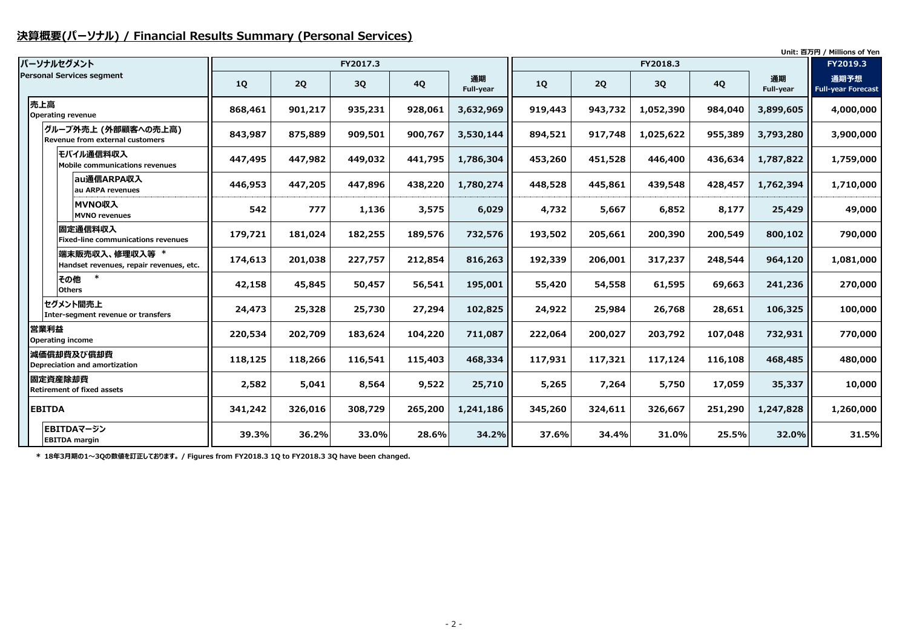#### **決算概要(パーソナル) / Financial Results Summary (Personal Services)**

|                                  |                                                           |           |         |           |           |                 |           |         |           |           |                 | Unit: 百万円 / Millions of Yen       |
|----------------------------------|-----------------------------------------------------------|-----------|---------|-----------|-----------|-----------------|-----------|---------|-----------|-----------|-----------------|-----------------------------------|
| パーソナルセグメント                       |                                                           |           |         | FY2017.3  |           |                 |           |         | FY2018.3  |           |                 | FY2019.3                          |
| <b>Personal Services segment</b> |                                                           | <b>1Q</b> | 2Q      | <b>3Q</b> | <b>4Q</b> | 通期<br>Full-year | <b>1Q</b> | 2Q      | 3Q        | <b>4Q</b> | 通期<br>Full-year | 通期予想<br><b>Full-year Forecast</b> |
| 売上高<br>Operating revenue         |                                                           | 868,461   | 901,217 | 935,231   | 928,061   | 3,632,969       | 919,443   | 943,732 | 1,052,390 | 984,040   | 3,899,605       | 4,000,000                         |
|                                  | グループ外売上 (外部顧客への売上高)<br>Revenue from external customers    | 843,987   | 875,889 | 909,501   | 900,767   | 3,530,144       | 894,521   | 917,748 | 1,025,622 | 955,389   | 3,793,280       | 3,900,000                         |
|                                  | モバイル通信料収入<br>Mobile communications revenues               | 447,495   | 447,982 | 449,032   | 441,795   | 1,786,304       | 453,260   | 451,528 | 446,400   | 436,634   | 1,787,822       | 1,759,000                         |
|                                  | au通信ARPA収入<br>au ARPA revenues                            | 446,953   | 447,205 | 447,896   | 438,220   | 1,780,274       | 448,528   | 445,861 | 439,548   | 428,457   | 1,762,394       | 1,710,000                         |
|                                  | MVNO収入<br><b>MVNO</b> revenues                            | 542       | 777     | 1,136     | 3,575     | 6,029           | 4,732     | 5,667   | 6,852     | 8,177     | 25,429          | 49,000                            |
|                                  | 固定通信料収入<br><b>Fixed-line communications revenues</b>      | 179,721   | 181,024 | 182,255   | 189,576   | 732,576         | 193,502   | 205,661 | 200,390   | 200,549   | 800,102         | 790,000                           |
|                                  | 端末販売収入、修理収入等 *<br>Handset revenues, repair revenues, etc. | 174,613   | 201,038 | 227,757   | 212,854   | 816,263         | 192,339   | 206,001 | 317,237   | 248,544   | 964,120         | 1,081,000                         |
| その他<br><b>Others</b>             |                                                           | 42,158    | 45,845  | 50,457    | 56,541    | 195,001         | 55,420    | 54,558  | 61,595    | 69,663    | 241,236         | 270,000                           |
|                                  | セグメント間売上<br>Inter-segment revenue or transfers            | 24,473    | 25,328  | 25,730    | 27,294    | 102,825         | 24,922    | 25,984  | 26,768    | 28,651    | 106,325         | 100,000                           |
| 営業利益<br>Operating income         |                                                           | 220,534   | 202,709 | 183,624   | 104,220   | 711,087         | 222,064   | 200,027 | 203,792   | 107,048   | 732,931         | 770,000                           |
| 減価償却費及び償却費                       | Depreciation and amortization                             | 118,125   | 118,266 | 116,541   | 115,403   | 468,334         | 117,931   | 117,321 | 117,124   | 116,108   | 468,485         | 480,000                           |
| 固定資産除却費                          | <b>Retirement of fixed assets</b>                         | 2,582     | 5,041   | 8,564     | 9,522     | 25,710          | 5,265     | 7,264   | 5,750     | 17,059    | 35,337          | 10,000                            |
| <b>EBITDA</b>                    |                                                           | 341,242   | 326,016 | 308,729   | 265,200   | 1,241,186       | 345,260   | 324,611 | 326,667   | 251,290   | 1,247,828       | 1,260,000                         |
| <b>EBITDA</b> margin             | EBITDAマージン                                                | 39.3%     | 36.2%   | 33.0%     | 28.6%     | 34.2%           | 37.6%     | 34.4%   | 31.0%     | 25.5%     | 32.0%           | 31.5%                             |

**\* 18年3月期の1~3Qの数値を訂正しております。 / Figures from FY2018.3 1Q to FY2018.3 3Q have been changed.**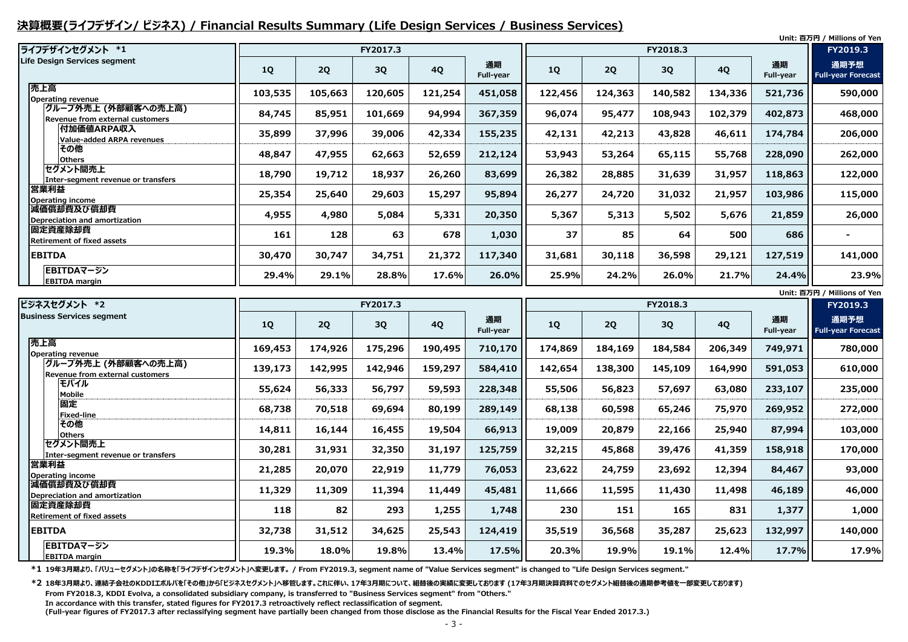#### **決算概要(ライフデザイン/ ビジネス) / Financial Results Summary (Life Design Services / Business Services)**

| ライフデザインセグメント *1                                        |           |         | FY2017.3 |           |                        |           |         | FY2018.3 |           |                 | <b>FY2019.3</b>                   |
|--------------------------------------------------------|-----------|---------|----------|-----------|------------------------|-----------|---------|----------|-----------|-----------------|-----------------------------------|
| Life Design Services segment                           | <b>1Q</b> | 2Q      | 3Q       | <b>4Q</b> | 通期<br><b>Full-year</b> | <b>1Q</b> | 2Q      | 3Q       | <b>4Q</b> | 通期<br>Full-year | 通期予想<br><b>Full-year Forecast</b> |
| 売上高<br><b>Operating revenue</b>                        | 103,535   | 105,663 | 120,605  | 121,254   | 451,058                | 122,456   | 124,363 | 140,582  | 134,336   | 521,736         | 590,000                           |
| グループ外売上 (外部顧客への売上高)<br>Revenue from external customers | 84,745    | 85,951  | 101,669  | 94,994    | 367,359                | 96,074    | 95,477  | 108,943  | 102,379   | 402,873         | 468,000                           |
| <b>付加価値ARPA収入</b><br><b>Value-added ARPA revenues</b>  | 35,899    | 37,996  | 39,006   | 42,334    | 155,235                | 42,131    | 42,213  | 43,828   | 46,611    | 174,784         | 206,000                           |
| その他<br><b>Others</b>                                   | 48,847    | 47,955  | 62,663   | 52,659    | 212,124                | 53,943    | 53,264  | 65,115   | 55,768    | 228,090         | 262,000                           |
| セグメント間売上<br>Inter-segment revenue or transfers         | 18,790    | 19,712  | 18,937   | 26,260    | 83,699                 | 26,382    | 28,885  | 31,639   | 31,957    | 118,863         | 122,000                           |
| 営業利益<br><b>Operating income</b>                        | 25,354    | 25,640  | 29,603   | 15,297    | 95,894                 | 26,277    | 24,720  | 31,032   | 21,957    | 103,986         | 115,000                           |
| 減価償却費及び償却費<br>Depreciation and amortization            | 4,955     | 4,980   | 5,084    | 5,331     | 20,350                 | 5,367     | 5,313   | 5,502    | 5,676     | 21,859          | 26,000                            |
| 固定資産除却費<br><b>Retirement of fixed assets</b>           | 161       | 128     | 63       | 678       | 1,030                  | 37        | 85      | 64       | 500       | 686             |                                   |
| <b>EBITDA</b>                                          | 30,470    | 30,747  | 34,751   | 21,372    | 117,340                | 31,681    | 30,118  | 36,598   | 29,121    | 127,519         | 141,000                           |
| EBITDAマージン<br><b>EBITDA margin</b>                     | 29.4%     | 29.1%   | 28.8%    | 17.6%     | 26.0%                  | 25.9%     | 24.2%   | 26.0%    | 21.7%     | 24.4%           | 23.9%                             |

**\*1 19年3月期より、「バリューセグメント」の名称を「ライフデザインセグメント」へ変更します。 / From FY2019.3, segment name of "Value Services segment" is changed to "Life Design Services segment."**

|                                                        |           |         |          |           |                 |           |         |          |           |                        | Unit: 百万円 / Millions of Yen       |
|--------------------------------------------------------|-----------|---------|----------|-----------|-----------------|-----------|---------|----------|-----------|------------------------|-----------------------------------|
| ビジネスセグメント *2                                           |           |         | FY2017.3 |           |                 |           |         | FY2018.3 |           |                        | FY2019.3                          |
| <b>Business Services segment</b>                       | <b>1Q</b> | 2Q      | 3Q       | <b>4Q</b> | 通期<br>Full-year | <b>1Q</b> | 2Q      | 3Q       | <b>4Q</b> | 通期<br><b>Full-year</b> | 通期予想<br><b>Full-year Forecast</b> |
| 売上高<br>Operating revenue                               | 169,453   | 174,926 | 175,296  | 190,495   | 710,170         | 174,869   | 184,169 | 184,584  | 206,349   | 749,971                | 780,000                           |
| グループ外売上 (外部顧客への売上高)<br>Revenue from external customers | 139,173   | 142,995 | 142,946  | 159,297   | 584,410         | 142,654   | 138,300 | 145,109  | 164,990   | 591,053                | 610,000                           |
| モバイル<br><b>Mobile</b>                                  | 55,624    | 56,333  | 56,797   | 59,593    | 228,348         | 55,506    | 56,823  | 57,697   | 63,080    | 233,107                | 235,000                           |
| 固定<br><b>Fixed-line</b>                                | 68,738    | 70,518  | 69,694   | 80,199    | 289,149         | 68,138    | 60,598  | 65,246   | 75,970    | 269,952                | 272,000                           |
| その他<br><b>Others</b>                                   | 14,811    | 16,144  | 16,455   | 19,504    | 66,913          | 19,009    | 20,879  | 22,166   | 25,940    | 87,994                 | 103,000                           |
| セグメント間売上<br>Inter-segment revenue or transfers         | 30,281    | 31,931  | 32,350   | 31,197    | 125,759         | 32,215    | 45,868  | 39,476   | 41,359    | 158,918                | 170,000                           |
| 営業利益<br><b>Operating income</b>                        | 21,285    | 20,070  | 22,919   | 11,779    | 76,053          | 23,622    | 24,759  | 23,692   | 12,394    | 84,467                 | 93,000                            |
| 減価償却費及び償却費<br>Depreciation and amortization            | 11,329    | 11,309  | 11,394   | 11,449    | 45,481          | 11,666    | 11,595  | 11,430   | 11,498    | 46,189                 | 46,000                            |
| 固定資産除却費<br><b>Retirement of fixed assets</b>           | 118       | 82      | 293      | 1,255     | 1,748           | 230       | 151     | 165      | 831       | 1,377                  | 1,000                             |
| <b>EBITDA</b>                                          | 32,738    | 31,512  | 34,625   | 25,543    | 124,419         | 35,519    | 36,568  | 35,287   | 25,623    | 132,997                | 140,000                           |
| EBITDAマージン<br><b>EBITDA margin</b>                     | 19.3%     | 18.0%   | 19.8%    | 13.4%     | 17.5%           | 20.3%     | 19.9%   | 19.1%    | 12.4%     | 17.7%                  | 17.9%                             |

**\*2 18年3月期より、連結子会社のKDDIエボルバを「その他」から「ビジネスセグメント」へ移管します。これに伴い、17年3月期について、組替後の実績に変更しております (17年3月期決算資料でのセグメント組替後の通期参考値を一部変更しております) From FY2018.3, KDDI Evolva, a consolidated subsidiary company, is transferred to "Business Services segment" from "Others." In accordance with this transfer, stated figures for FY2017.3 retroactively reflect reclassification of segment. (Full-year figures of FY2017.3 after reclassifying segment have partially been changed from those disclose as the Financial Results for the Fiscal Year Ended 2017.3.)**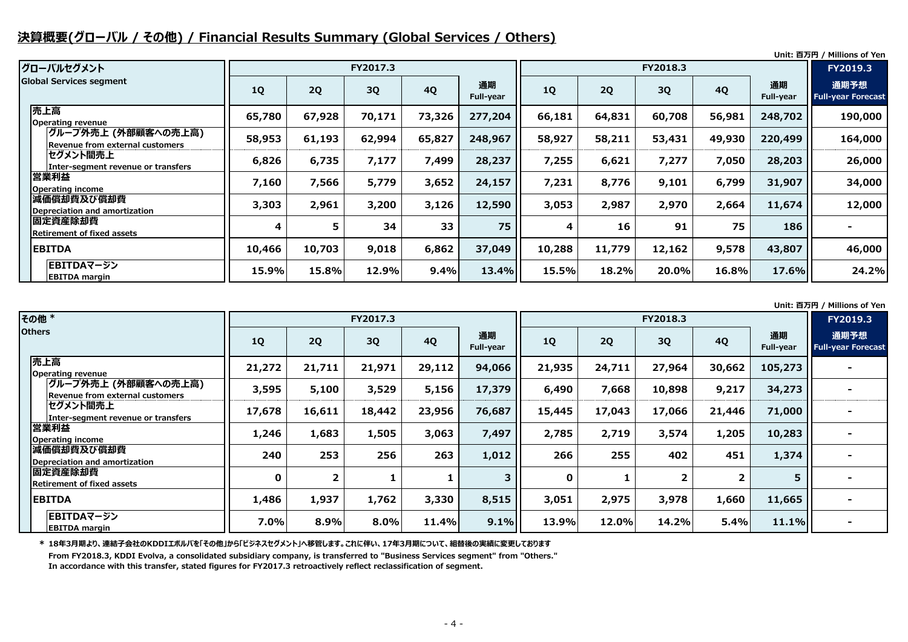#### **決算概要(グローバル / その他) / Financial Results Summary (Global Services / Others)**

**Unit: 百万円 / Millions of Yen**

**Unit: 百万円 / Millions of Yen**

| グローバルセグメント                                             |           |           | FY2017.3 |           |                        |           |        | FY2018.3 |           |                        | <b>FY2019.3</b>                   |
|--------------------------------------------------------|-----------|-----------|----------|-----------|------------------------|-----------|--------|----------|-----------|------------------------|-----------------------------------|
| <b>Global Services segment</b>                         | <b>1Q</b> | <b>2Q</b> | 3Q       | <b>4Q</b> | 通期<br><b>Full-year</b> | <b>1Q</b> | 2Q     | 3Q       | <b>4Q</b> | 通期<br><b>Full-year</b> | 通期予想<br><b>Full-year Forecast</b> |
| 売上高<br><b>Operating revenue</b>                        | 65,780    | 67,928    | 70,171   | 73,326    | 277,204                | 66,181    | 64,831 | 60,708   | 56,981    | 248,702                | 190,000                           |
| グループ外売上 (外部顧客への売上高)<br>Revenue from external customers | 58,953    | 61,193    | 62,994   | 65,827    | 248,967                | 58,927    | 58,211 | 53,431   | 49,930    | 220,499                | 164,000                           |
| セグメント間売上<br>Inter-segment revenue or transfers         | 6,826     | 6,735     | 7,177    | 7,499     | 28,237                 | 7,255     | 6,621  | 7,277    | 7,050     | 28,203                 | 26,000                            |
| 営業利益<br>Operating income                               | 7,160     | 7,566     | 5,779    | 3,652     | 24,157                 | 7,231     | 8,776  | 9,101    | 6,799     | 31,907                 | 34,000                            |
| 減価償却費及び償却費<br>Depreciation and amortization            | 3,303     | 2,961     | 3,200    | 3,126     | 12,590                 | 3,053     | 2,987  | 2,970    | 2,664     | 11,674                 | 12,000                            |
| 固定資産除却費<br><b>Retirement of fixed assets</b>           | 4         | 5         | 34       | 33        | 75                     | 4         | 16     | 91       | 75        | 186                    |                                   |
| <b>EBITDA</b>                                          | 10,466    | 10,703    | 9,018    | 6,862     | 37,049                 | 10,288    | 11,779 | 12,162   | 9,578     | 43,807                 | 46,000                            |
| EBITDAマージン<br><b>EBITDA</b> margin                     | 15.9%     | 15.8%     | 12.9%    | 9.4%      | 13.4%                  | 15.5%     | 18.2%  | 20.0%    | 16.8%     | 17.6%                  | 24.2%                             |

**\* 18年3月期より、連結子会社のKDDIエボルバを「その他」から「ビジネスセグメント」へ移管します。これに伴い、17年3月期について、組替後の実績に変更しております**

**From FY2018.3, KDDI Evolva, a consolidated subsidiary company, is transferred to "Business Services segment" from "Others." In accordance with this transfer, stated figures for FY2017.3 retroactively reflect reclassification of segment.**

| その他 *                                                  |             |                | FY2017.3 |           |                        |             |        | FY2018.3 |                |                        | FY2019.3                          |
|--------------------------------------------------------|-------------|----------------|----------|-----------|------------------------|-------------|--------|----------|----------------|------------------------|-----------------------------------|
| <b>Others</b>                                          | <b>1Q</b>   | 2Q             | 3Q       | <b>4Q</b> | 通期<br><b>Full-year</b> | <b>1Q</b>   | 2Q     | 3Q       | <b>4Q</b>      | 通期<br><b>Full-year</b> | 通期予想<br><b>Full-year Forecast</b> |
| 売上高<br><b>Operating revenue</b>                        | 21,272      | 21,711         | 21,971   | 29,112    | 94,066                 | 21,935      | 24,711 | 27,964   | 30,662         | 105,273                |                                   |
| グループ外売上 (外部顧客への売上高)<br>Revenue from external customers | 3,595       | 5,100          | 3,529    | 5,156     | 17,379                 | 6,490       | 7,668  | 10,898   | 9,217          | 34,273                 | $\blacksquare$                    |
| セグメント間売上<br>Inter-segment revenue or transfers         | 17,678      | 16,611         | 18,442   | 23,956    | 76,687                 | 15,445      | 17,043 | 17,066   | 21,446         | 71,000                 | $\blacksquare$                    |
| 営業利益<br><b>Operating income</b>                        | 1,246       | 1,683          | 1,505    | 3,063     | 7,497                  | 2,785       | 2,719  | 3,574    | 1,205          | 10,283                 |                                   |
| 減価償却費及び償却費<br>Depreciation and amortization            | 240         | 253            | 256      | 263       | 1,012                  | 266         | 255    | 402      | 451            | 1,374                  |                                   |
| 固定資産除却費<br><b>Retirement of fixed assets</b>           | $\mathbf 0$ | $\overline{2}$ |          |           | 3                      | $\mathbf 0$ |        |          | $\overline{2}$ | 5                      |                                   |
| <b>EBITDA</b>                                          | 1,486       | 1,937          | 1,762    | 3,330     | 8,515                  | 3,051       | 2,975  | 3,978    | 1,660          | 11,665                 |                                   |
| EBITDAマージン<br><b>EBITDA margin</b>                     | 7.0%        | 8.9%           | 8.0%     | 11.4%     | 9.1%                   | 13.9%       | 12.0%  | 14.2%    | 5.4%           | 11.1%                  |                                   |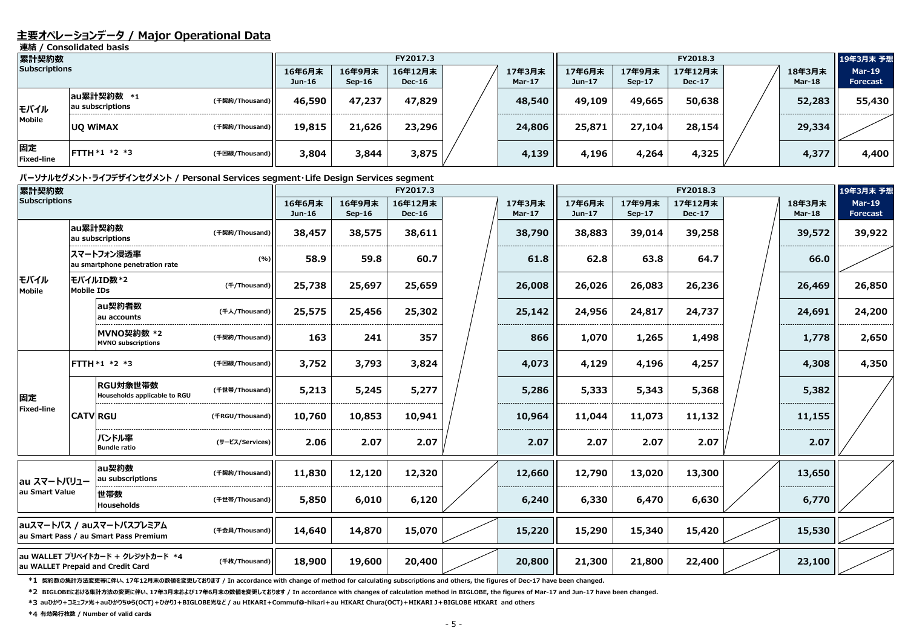#### **主要オペレーションデータ / Major Operational Data**

**連結 / Consolidated basis**

#### **パーソナルセグメント・ライフデザインセグメント / Personal Services segment・Life Design Services segment**

| 累計契約数                   |                                |                |                    |                    | FY2017.3                 |                  |                  |                    | FY2018.3                 |                         | 19年3月末 予想                        |
|-------------------------|--------------------------------|----------------|--------------------|--------------------|--------------------------|------------------|------------------|--------------------|--------------------------|-------------------------|----------------------------------|
| <b>Subscriptions</b>    |                                |                | 16年6月末<br>$Jun-16$ | 16年9月末<br>$Sep-16$ | 16年12月末<br><b>Dec-16</b> | 17年3月末<br>Mar-17 | 17年6月末<br>Jun-17 | 17年9月末<br>$Sep-17$ | 17年12月末<br><b>Dec-17</b> | 18年3月末<br><b>Mar-18</b> | <b>Mar-19</b><br><b>Forecast</b> |
| モバイル                    | au累計契約数 *1<br>au subscriptions | (千契約/Thousand) | 46,590             | 47,237             | 47,829                   | 48,540           | 49,109           | 49,665             | 50,638                   | 52,283                  | 55,430                           |
| <b>Mobile</b>           | <b>UQ WIMAX</b>                | (千契約/Thousand) | 19,815             | 21,626             | 23,296                   | 24,806           | 25,871           | 27,104             | 28,154                   | 29,334                  |                                  |
| 固定<br><b>Fixed-line</b> | $FTTH * 1 * 2 * 3$             | (千回線/Thousand) | 3,804              | 3,844              | 3,875                    | 4,139            | 4,196            | 4,264              | 4,325                    | 4,377                   | 4,400                            |

**\*1 契約数の集計方法変更等に伴い、17年12月末の数値を変更しております / In accordance with change of method for calculating subscriptions and others, the figures of Dec-17 have been changed.**

| 累計契約数                |                   |                                                                       |                 |                  |                         | FY2017.3                 |                         |                  |                         | FY2018.3                 |                         | 19年3月末 予想                        |
|----------------------|-------------------|-----------------------------------------------------------------------|-----------------|------------------|-------------------------|--------------------------|-------------------------|------------------|-------------------------|--------------------------|-------------------------|----------------------------------|
| <b>Subscriptions</b> |                   |                                                                       |                 | 16年6月末<br>Jun-16 | 16年9月末<br><b>Sep-16</b> | 16年12月末<br><b>Dec-16</b> | 17年3月末<br><b>Mar-17</b> | 17年6月末<br>Jun-17 | 17年9月末<br><b>Sep-17</b> | 17年12月末<br><b>Dec-17</b> | 18年3月末<br><b>Mar-18</b> | <b>Mar-19</b><br><b>Forecast</b> |
|                      |                   | au累計契約数<br>au subscriptions                                           | (千契約/Thousand)  | 38,457           | 38,575                  | 38,611                   | 38,790                  | 38,883           | 39,014                  | 39,258                   | 39,572                  | 39,922                           |
|                      |                   | スマートフォン浸透率<br>au smartphone penetration rate                          | (%)             | 58.9             | 59.8                    | 60.7                     | 61.8                    | 62.8             | 63.8                    | 64.7                     | 66.0                    |                                  |
| モバイル<br>Mobile       | <b>Mobile IDs</b> | <b>モバイルID数*2</b>                                                      | (f/Thousand)    | 25,738           | 25,697                  | 25,659                   | 26,008                  | 26,026           | 26,083                  | 26,236                   | 26,469                  | 26,850                           |
|                      |                   | au契約者数<br>au accounts                                                 | (千人/Thousand)   | 25,575           | 25,456                  | 25,302                   | 25,142                  | 24,956           | 24,817                  | 24,737                   | 24,691                  | 24,200                           |
|                      |                   | MVNO契約数 *2<br><b>MVNO</b> subscriptions                               | (千契約/Thousand)  | 163              | 241                     | 357                      | 866                     | 1,070            | 1,265                   | 1,498                    | 1,778                   | 2,650                            |
|                      |                   | FTTH *1 *2 *3                                                         | (千回線/Thousand)  | 3,752            | 3,793                   | 3,824                    | 4,073                   | 4,129            | 4,196                   | 4,257                    | 4,308                   | 4,350                            |
| 固定                   |                   | RGU対象世帯数<br>Households applicable to RGU                              | (千世帯/Thousand)  | 5,213            | 5,245                   | 5,277                    | 5,286                   | 5,333            | 5,343                   | 5,368                    | 5,382                   |                                  |
| <b>Fixed-line</b>    |                   | <b>CATV RGU</b>                                                       | (FRGU/Thousand) | 10,760           | 10,853                  | 10,941                   | 10,964                  | 11,044           | 11,073                  | 11,132                   | 11,155                  |                                  |
|                      |                   | バンドル率<br><b>Bundle ratio</b>                                          | (サービス/Services) | 2.06             | 2.07                    | 2.07                     | 2.07                    | 2.07             | 2.07                    | 2.07                     | 2.07                    |                                  |
| au スマートバリュー          |                   | au契約数<br>au subscriptions                                             | (千契約/Thousand)  | 11,830           | 12,120                  | 12,320                   | 12,660                  | 12,790           | 13,020                  | 13,300                   | 13,650                  |                                  |
| au Smart Value       |                   | 世帯数<br><b>Households</b>                                              | (千世帯/Thousand)  | 5,850            | 6,010                   | 6,120                    | 6,240                   | 6,330            | 6,470                   | 6,630                    | 6,770                   |                                  |
|                      |                   | auスマートパス / auスマートパスプレミアム<br>au Smart Pass / au Smart Pass Premium     | (千会員/Thousand)  | 14,640           | 14,870                  | 15,070                   | 15,220                  | 15,290           | 15,340                  | 15,420                   | 15,530                  |                                  |
|                      |                   | au WALLET プリペイドカード + クレジットカード *4<br>au WALLET Prepaid and Credit Card | (千枚/Thousand)   | 18,900           | 19,600                  | 20,400                   | 20,800                  | 21,300           | 21,800                  | 22,400                   | 23,100                  |                                  |

**\*2 BIGLOBEにおける集計方法の変更に伴い、17年3月末および17年6月末の数値を変更しております / In accordance with changes of calculation method in BIGLOBE, the figures of Mar-17 and Jun-17 have been changed.**

**\*3 auひかり+コミュファ光+auひかりちゅら(OCT)+ひかりJ+BIGLOBE光など / au HIKARI+Commuf@-hikari+au HIKARI Chura(OCT)+HIKARI J+BIGLOBE HIKARI and others**

**\*4 有効発行枚数 / Number of valid cards**

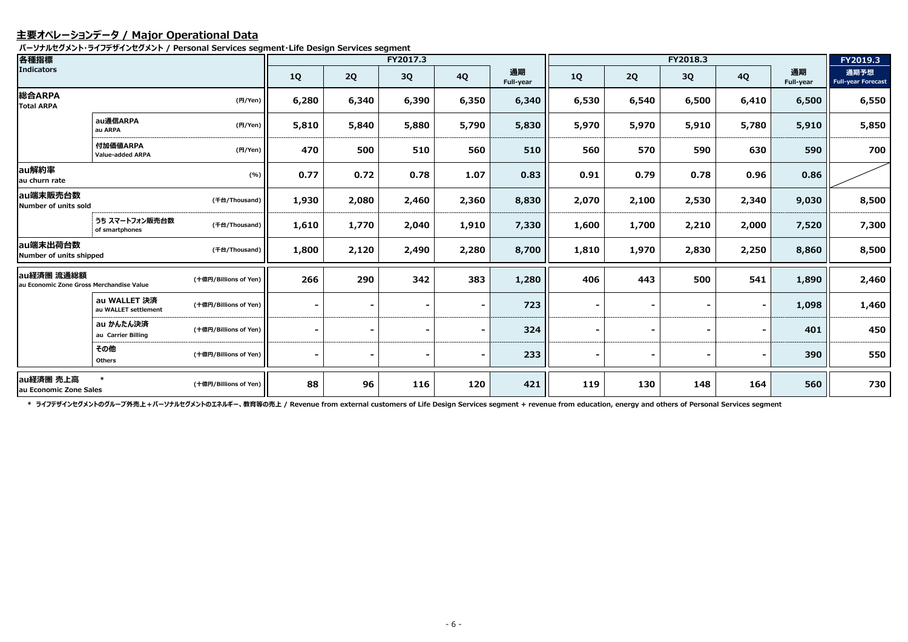#### **主要オペレーションデータ / Major Operational Data**

**パーソナルセグメント・ライフデザインセグメント / Personal Services segment・Life Design Services segment**

| 各種指標                                                   |                                      |                       |                          |                | FY2017.3 |           |                        |           |       | FY2018.3  |           |                 | FY2019.3                          |
|--------------------------------------------------------|--------------------------------------|-----------------------|--------------------------|----------------|----------|-----------|------------------------|-----------|-------|-----------|-----------|-----------------|-----------------------------------|
| Indicators                                             |                                      |                       | <b>1Q</b>                | 2Q             | 3Q       | <b>4Q</b> | 通期<br><b>Full-year</b> | <b>1Q</b> | 2Q    | <b>3Q</b> | <b>4Q</b> | 通期<br>Full-year | 通期予想<br><b>Full-year Forecast</b> |
| 総合ARPA<br><b>Total ARPA</b>                            |                                      | (円/Yen)               | 6,280                    | 6,340          | 6,390    | 6,350     | 6,340                  | 6,530     | 6,540 | 6,500     | 6,410     | 6,500           | 6,550                             |
|                                                        | au通信ARPA<br>au ARPA                  | (円/Yen)               | 5,810                    | 5,840          | 5,880    | 5,790     | 5,830                  | 5,970     | 5,970 | 5,910     | 5,780     | 5,910           | 5,850                             |
|                                                        | 付加価値ARPA<br>Value-added ARPA         | (円/Yen)               | 470                      | 500            | 510      | 560       | 510                    | 560       | 570   | 590       | 630       | 590             | 700                               |
| au解約率<br>au churn rate                                 |                                      | (%)                   | 0.77                     | 0.72           | 0.78     | 1.07      | 0.83                   | 0.91      | 0.79  | 0.78      | 0.96      | 0.86            |                                   |
| au端末販売台数<br>Number of units sold                       |                                      | (千台/Thousand)         | 1,930                    | 2,080          | 2,460    | 2,360     | 8,830                  | 2,070     | 2,100 | 2,530     | 2,340     | 9,030           | 8,500                             |
|                                                        | うち スマートフォン販売台数<br>of smartphones     | (千台/Thousand)         | 1,610                    | 1,770          | 2,040    | 1,910     | 7,330                  | 1,600     | 1,700 | 2,210     | 2,000     | 7,520           | 7,300                             |
| au端末出荷台数<br>Number of units shipped                    |                                      | (千台/Thousand)         | 1,800                    | 2,120          | 2,490    | 2,280     | 8,700                  | 1,810     | 1,970 | 2,830     | 2,250     | 8,860           | 8,500                             |
| au経済圏 流通総額<br>au Economic Zone Gross Merchandise Value |                                      | (十億円/Billions of Yen) | 266                      | 290            | 342      | 383       | 1,280                  | 406       | 443   | 500       | 541       | 1,890           | 2,460                             |
|                                                        | au WALLET 決済<br>au WALLET settlement | (十億円/Billions of Yen) |                          |                |          |           | 723                    |           |       |           | Ξ.        | 1,098           | 1,460                             |
|                                                        | au かんたん決済<br>au Carrier Billing      | (十億円/Billions of Yen) |                          | $\sim$         |          |           | 324                    |           | ۰     |           | ۰.        | 401             | 450                               |
|                                                        | その他<br><b>Others</b>                 | (十億円/Billions of Yen) | $\overline{\phantom{a}}$ | $\blacksquare$ |          |           | 233                    |           | ۰.    |           | ۰.        | 390             | 550                               |
| au経済圏 売上高<br>au Economic Zone Sales                    | $\ast$                               | (十億円/Billions of Yen) | 88                       | 96             | 116      | 120       | 421                    | 119       | 130   | 148       | 164       | 560             | 730                               |

\* ライフデザインセグメントのグループ外売上 + パーソナルセグメントのエネルギー、教育等の売上 / Revenue from external customers of Life Design Services segment + revenue from education, energy and others of Personal Services segment